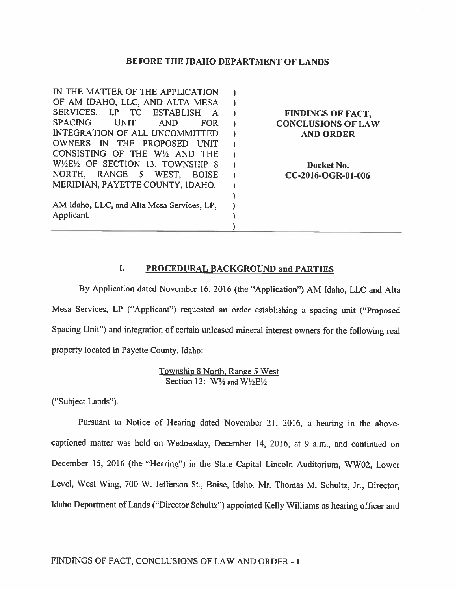#### BEFORE THE IDAHO DEPARTMENT OF LANDS

| IN THE MATTER OF THE APPLICATION                          |                           |
|-----------------------------------------------------------|---------------------------|
| OF AM IDAHO, LLC, AND ALTA MESA                           |                           |
| SERVICES,<br>LP TO ESTABLISH<br>- A                       | <b>FINDINGS OF FACT,</b>  |
| <b>SPACING</b><br><b>UNIT</b><br><b>AND</b><br><b>FOR</b> | <b>CONCLUSIONS OF LAW</b> |
| INTEGRATION OF ALL UNCOMMITTED                            | <b>AND ORDER</b>          |
| OWNERS IN THE PROPOSED<br><b>LINIT</b>                    |                           |
| CONSISTING OF THE W1/2 AND THE                            |                           |
| W1/2E1/2 OF SECTION 13, TOWNSHIP 8                        | Docket No.                |
| NORTH, RANGE 5 WEST,<br><b>BOISE</b>                      | CC-2016-OGR-01-006        |
| MERIDIAN, PAYETTE COUNTY, IDAHO.                          |                           |
|                                                           |                           |
| AM Idaho, LLC, and Alta Mesa Services, LP,                |                           |
| Applicant.                                                |                           |
|                                                           |                           |

### I. PROCEDURAL BACKGROUND and PARTIES

By Application dated November 16, 2016 (the "Application") AM Idaho. LLC and AIta Mesa Services, LP ("Applicant") requested an order establishing <sup>a</sup> spacing unit ("Proposed Spacing Unit") and integration of certain unleased mineral interest owners for the following real property located in Payette County, Idaho:

> Township <sup>8</sup> North. Range <sup>5</sup> West Section 13:  $W\frac{1}{2}$  and  $W\frac{1}{2}E\frac{1}{2}$

("Subject Lands").

Pursuant to Notice of Hearing dated November 21, 2016, <sup>a</sup> hearing in the abovecaptioned matter was held on Wednesday, December 14, 2016, at <sup>9</sup> a.m., and continued on December 15, <sup>2016</sup> (the "Hearing") in the State Capital Lincoln Auditorium, WWO2, Lower Level, West Wing, <sup>700</sup> W. Jefferson St., Boise, Idaho. Mr. Thomas M. Schultz, Jr., Director, Idaho Department of Lands ("Director Schultz") appointed Kelly Williams as hearing officer and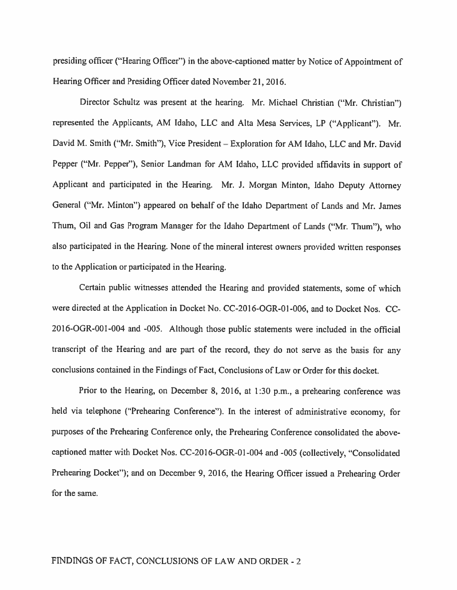presiding officer ("Hearing Officer") in the above-captioned matter by Notice of Appointment of Hearing Officer and Presiding Officer dated November 21, 2016.

Director Schultz was presen<sup>t</sup> at the hearing. Mr. Michael Christian ("Mr. Christian") represented the Applicants, AM Idaho, LLC and Alta Mesa Services, LP ("Applicant"). Mr. David M. Smith ("Mr. Smith"), Vice President — Exploration for AM Idaho, LLC and Mr. David Pepper ("Mr. Pepper"), Senior Landman for AM Idaho, LLC provided affidavits in suppor<sup>t</sup> of Applicant and participated in the Hearing. Mr. J. Morgan Minton, Idaho Deputy Attorney General ("Mr. Minton") appeared on behalf of the Idaho Department of Lands and Mr. James Thum, Oil and Gas Program Manager for the Idaho Department of Lands ("Mr. Thum"). who also participated in the Hearing. None of the mineral interest owners provided written responses to the Application or participated in the Hearing.

Certain public witnesses attended the Hearing and provided statements, some of which were directed at the Application in Docket No. CC-2016-OGR-01-006, and to Docket Nos. CC 2016-OGR-001-004 and -005. Although those public statements were included in the official transcript of the Hearing and are par<sup>t</sup> of the record, they do not serve as the basis for any conclusions contained in the Findings of Fact, Conclusions of Law or Order for this docket.

Prior to the Hearing, on December 8, 2016, at 1:30 p.m., <sup>a</sup> prehearing conference was held via telephone ("Prehearing Conference"). In the interest of administrative economy, for purposes of the Prehearing Conference only, the Prehearing Conference consolidated the abovecaptioned matter with Docket Nos. CC-20l6-OGR-01-004 and -005 (collectively, "Consolidated Prehearing Docket"); and on December 9, 2016, the Hearing Officer issued a Prehearing Order for the same.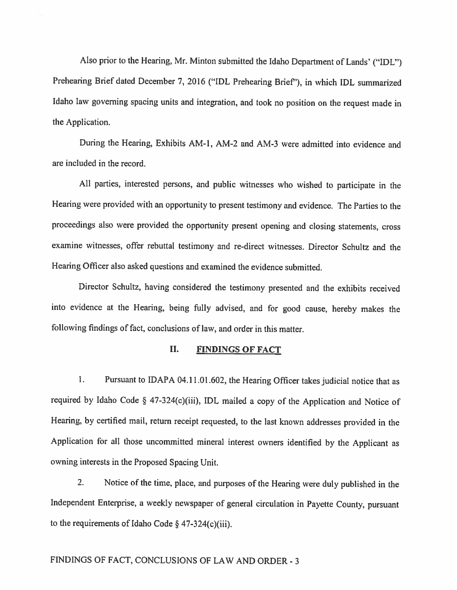Also prior to the Hearing, Mr. Minton submitted the Idaho Department of Lands' ("IDL") Prehearing Brief dated December 7, <sup>2016</sup> ("IDL Prehearing Brief'), in which IDL summarized Idaho law governing spacing units and integration, and took no position on the request made in the Application.

During the Hearing, Exhibits AM-I, AM-2 and AM-3 were admitted into evidence and are included in the record.

All parties, interested persons, and public witnesses who wished to participate in the Hearing were provided with an opportunity to present testimony and evidence. The Parties to the proceedings also were provided the opportunity present opening and closing statements, cross examine witnesses, offer rebuttal testimony and re-direct witnesses. Director Schultz and the Hearing Officer also asked questions and examined the evidence submitted.

Director Schultz, having considered the testimony presented and the exhibits received into evidence at the Hearing, being fully advised, and for good cause, hereby makes the following findings of fact, conclusions of law, and order in this matter.

## II. FINDINGS OF FACT

I. Pursuant to IDAPA 04.11.01.602, the Hearing Officer takes judicial notice that as required by Idaho Code § 47-324(c)(iii), IDL mailed <sup>a</sup> copy of the Application and Notice of Hearing, by certified mail, return receipt requested, to the last known addresses provided in the Application for all those uncommitted mineral interest owners identified by the Applicant as owning interests in the Proposed Spacing Unit.

2. Notice of the time, <sup>p</sup>lace, and purposes of the Hearing were duly published in the Independent Enterprise, <sup>a</sup> weekly newspaper of general circulation in Payette County, pursuant to the requirements of Idaho Code  $\S$  47-324(c)(iii).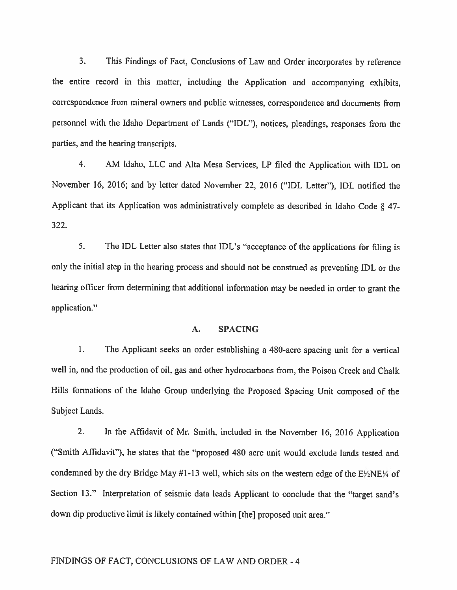3. This Findings of Fact, Conclusions of Law and Order incorporates by reference the entire record in this matter, including the Application and accompanying exhibits, correspondence from mineral owners and public witnesses, correspondence and documents from personne<sup>l</sup> with the Idaho Department of Lands ("IDL"), notices, <sup>p</sup>leadings, responses from the parties, and the hearing transcripts.

4. AM Idaho, LLC and Alta Mesa Services, LP filed the Application with IDL on November 16, 2016; and by letter dated November 22, <sup>2016</sup> ("IDL Letter"), IDL notified the Applicant that its Application was administratively complete as described in Idaho Code § 47- 322.

5. The IDL Letter also states that IDL's "acceptance of the applications for filing is only the initial step in Ihe hearing process and should not be construed as preventing IDL or the hearing officer from determining that additional information may be needed in order to gran<sup>t</sup> the application."

### A. SPACING

1. The Applicant seeks an order establishing <sup>a</sup> 480-acre spacing unit for <sup>a</sup> vertical well in, and the production of oil, gas and other hydrocarbons from, the Poison Creek and Chalk Hills formations of the Idaho Group underlying the Proposed Spacing Unit compose<sup>d</sup> of the Subject Lands.

2. In the Affidavit of Mr. Smith, included in the November 16, <sup>2016</sup> Application ("Smith Affidavit"), he states that the "proposed 480 acre unit would exclude lands tested and condemned by the dry Bridge May #1-13 well, which sits on the western edge of the  $E/2NE/4$  of Section 13." Interpretation of seismic data leads Applicant to conclude that the "target sand's down dip productive limit is likely contained within [the] proposed unit area."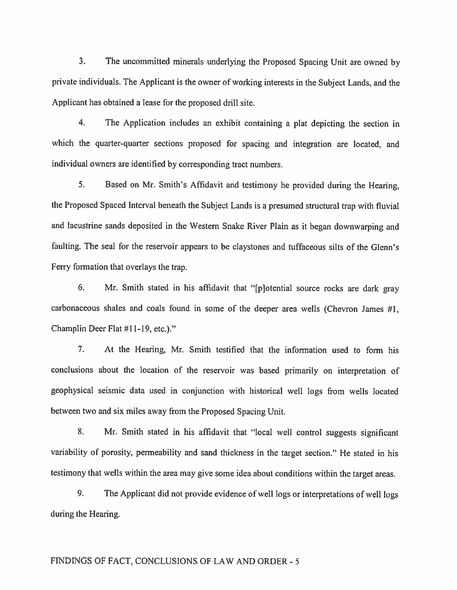3. The uncommitted minerals underlying the Proposed Spacing Unit are owned by private individuals. The Applicant is the owner of working interests in the Subject Lands, and the Applicant has obtained <sup>a</sup> lease for the proposed drill site.

4. The Application includes an exhibit containing <sup>a</sup> <sup>p</sup>lat depicting the section in which the quarter-quarter sections propose<sup>d</sup> for spacing and integration are located, and individual owners are identified by corresponding tract numbers.

5. Based on Mr. Smith's Affidavit and testimony he provided during the Hearing, the Proposed Spaced Interval beneath the Subject Lands is <sup>a</sup> presume<sup>d</sup> structural trap with fluvial and lacustrine sands deposited in the Western Snake River Plain as it began downwarping and faulting. The seal for the reservoir appears to be claystones and tuffaceous silts of the Glenn's Ferry formation that overlays the trap.

6. Mr. Smith stated in his affidavit that "[plotential source rocks are dark gray carbonaceous shales and coals found in some of the deeper area wells (Chevron James #1, Champlin Deer Flat #11-19, etc.)."

7. At the Hearing, Mr. Smith testified that the information used to form his conclusions about the location of the reservoir was based primarily on interpretation of geophysical seismic data used in conjunction with historical well logs from wells located between two and six miles away from the Proposed Spacing Unit.

8. Mr. Smith stated in his affidavit that "local well control suggests significant variability of porosity, permeability and sand thickness in the target section." He stated in his testimony that wells within the area may <sup>g</sup>ive some idea about conditions within the target areas.

9. The Applicant did not provide evidence of well logs or interpretations of well logs during the Hearing.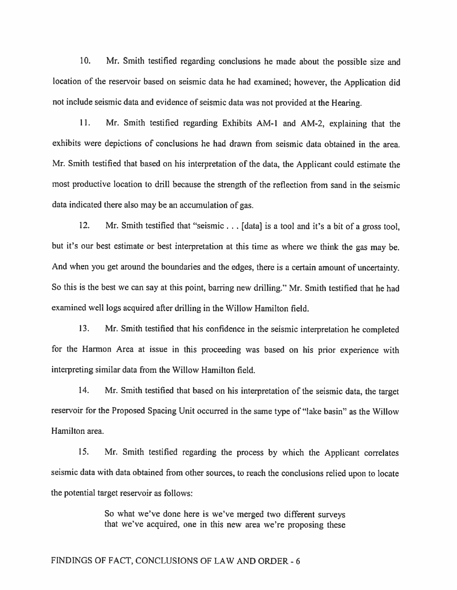10. Mr. Smith testified regarding conclusions he made about the possible size and location of the reservoir based on seismic data he had examined; however, the Application did not include seismic data and evidence of seismic data was not provided at the Hearing.

11. Mr. Smith testified regarding Exhibits AM-l and AM-2, explaining that the exhibits were depictions of conclusions he had drawn from seismic data obtained in the area. Mr. Smith testified that based on his interpretation of the data, the Applicant could estimate the most productive location to drill because the strength of the reflection from sand in the seismic data indicated there also may be an accumulation of gas.

12. Mr. Smith testified that "seismic . . . [data] is a tool and it's a bit of a gross tool, but it's our best estimate or best interpretation at this time as where we think the gas may be. And when you get around the boundaries and the edges, there is <sup>a</sup> certain amount of uncertainty. So this is the best we can say at this point, barring new drilling." Mr. Smith testified that he had examined well logs acquired after drilling in the Willow Hamilton field.

13. Mr. Smith testified that his confidence in the seismic interpretation he completed for the Hamon Area at issue in this proceeding was based on his prior experience with interpreting similar data from the Willow Hamilton field.

14. Mr. Smith testified that based on his interpretation of the seismic data, the target reservoir for the Proposed Spacing Unit occurred in the same type of "lake basin" as the Willow Hamilton area.

15. Mr. Smith testified regarding the process by which the Applicant correlates seismic data with data obtained from other sources, to reach the conclusions relied upon to locate the potential target reservoir as follows:

> So what we've done here is we've merged two different surveys that we've acquired, one in this new area we're proposing these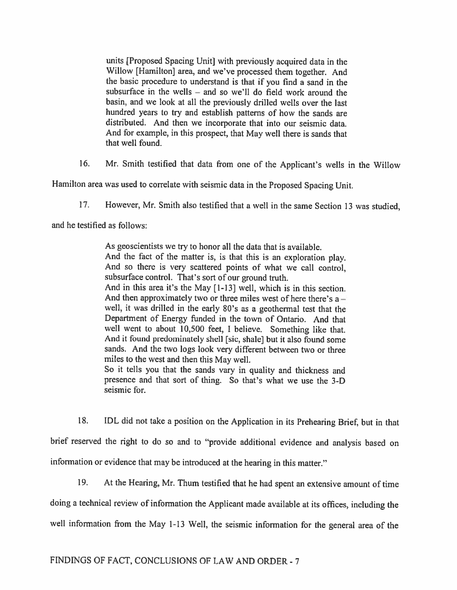units [Proposed Spacing Unit] with previously acquired data in the Willow [Hamilton] area, and we've processed them together. And the basic procedure to understand is that if you find <sup>a</sup> sand in the subsurface in the wells — and so we'll do field work around the basin, and we look at all the previously drilled wells over the last hundred years to try and establish patterns of how the sands are distributed. And then we incorporate that into our seismic data. And for example, in this prospect, that May well there is sands that that well found.

16. Mr. Smith testified that data from one of the Applicant's wells in the Willow

Hamilton area was used to correlate with seismic data in the Proposed Spacing Unit.

17. However, Mr. Smith also testified that <sup>a</sup> well in the same Section <sup>13</sup> was studied,

and he testified as follows:

As geoscientists we try to honor all the data that is available. And the fact of the matter is, is that this is an exploration <sup>p</sup>lay. And so there is very scattered points of what we call control, subsurface control. That's sort of our ground truth. And in this area it's the May [1-13] well, which is in this section. And then approximately two or three miles west of here there's  $a$ well, it was drilled in the early 80's as <sup>a</sup> geothermal test that the Department of Energy funded in the town of Ontario. And that well went to about 10,500 feet, <sup>I</sup> believe. Something like that. And it found predominately shell [sic, shale] but it also found some sands. And the two logs look very different between two or three miles to the west and then this May well. So it tells you that the sands vary in quality and thickness and presence and that sort of thing. So that's what we use the 3-D seismic for.

18. IDL did not take <sup>a</sup> position on the Application in its Prehearing Brief, but in that brief reserved the right to do so and to "provide additional evidence and analysis based on information or evidence that may be introduced at the hearing in this matter."

19. At the Hearing, Mr. Thum testified that he had spent an extensive amount of time

doing <sup>a</sup> technical review of information the Applicant made available at its offices, including the

well information from the May 1-13 Well, the seismic information for the general area of the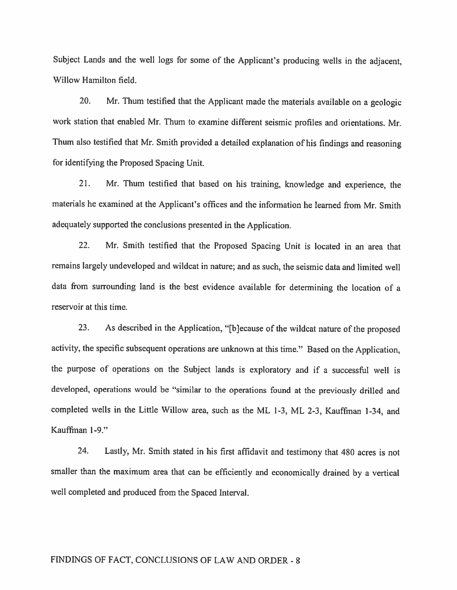Subject Lands and the well logs for some of the Applicant's producing wells in the adjacent, Willow Hamilton field.

20. Mr. Thum testified that the Applicant made the materials available on <sup>a</sup> geologic work station that enabled Mr. Thum to examine different seismic profiles and orientations. Mr. Thum also testified that Mr. Smith provided <sup>a</sup> detailed explanation of his findings and reasoning for identifying the Proposed Spacing Unit.

21. Mr. Thum testified that based on his training, knowledge and experience, the materials he examined at the Applicant's offices and the information he learned from Mr. Smith adequately supported the conclusions presented in the Application.

22. Mr. Smith testified that the Proposed Spacing Unit is located in an area that remains largely undeveloped and wildcat in nature; and as such, the seismic data and limited well data from surrounding land is the best evidence available for determining the location of <sup>a</sup> reservoir at this time.

23. As described in the Application, "[b]ecause of the wildcat nature of the proposed activity, the specific subsequent operations are unknown at this time." Based on the Application, the purpose of operations on the Subject lands is exploratory and if a successful well is developed, operations would be "similar to the operations found at the previously drilled and completed wells in the Little Willow area, such as the ML 1-3, ML 2-3, Kauffman 1-34, and Kaufffian 1-9."

24. Lastly, Mr. Smith stated in his first affidavit and testimony that <sup>480</sup> acres is not smaller than the maximum area that can be efficiently and economically drained by <sup>a</sup> vertical well completed and produced from the Spaced Interval.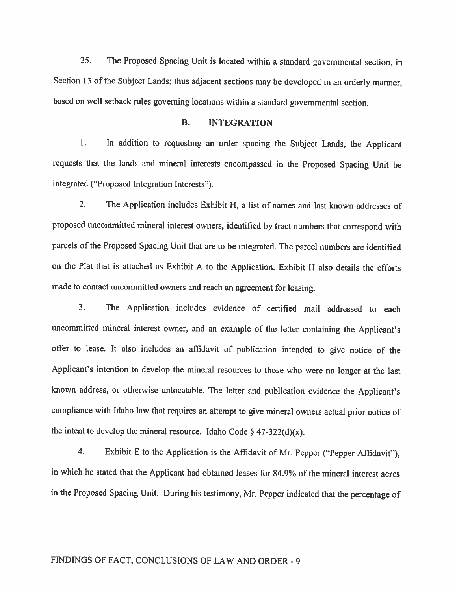25. The Proposed Spacing Unit is located within <sup>a</sup> standard governmental section, in Section <sup>13</sup> of the Subject Lands; thus adjacent sections may be developed in an orderly manner, based on well setback rules governing locations within <sup>a</sup> standard governmental section.

### B. INTEGRATION

1. In addition to requesting an order spacing the Subject Lands, the Applicant requests that the lands and mineral interests encompassed in the Proposed Spacing Unit be integrated ("Proposed Integration Interests").

2. The Application includes Exhibit H, <sup>a</sup> list of names and last known addresses of proposed uncommitted mineral interest owners, identified by tract numbers that correspond with parcels of the Proposed Spacing Unit that are to be integrated. The parcel numbers are identified on the Plat that is attached as Exhibit <sup>A</sup> to the Application. Exhibit <sup>H</sup> also details the efforts made to contact uncommitted owners and reach an agreement for leasing.

3. The Application includes evidence of certified mail addressed to each uncommitted mineral interest owner, and an example of the letter containing the Applicant's offer to lease. It also includes an affidavit of publication intended to <sup>g</sup>ive notice of the Applicant's intention to develop the mineral resources to those who were no longer at the last known address, or otherwise unlocatable. The letter and publication evidence the Applicant's compliance with Idaho law that requires an attempt to <sup>g</sup>ive mineral owners actual prior notice of the intent to develop the mineral resource. Idaho Code  $\S$  47-322(d)(x).

4. Exhibit <sup>E</sup> to the Application is the Affidavit of Mr. Pepper ("Pepper Affidavit"), in which he stated that the Applicant had obtained leases for 84.9% of the mineral interest acres in the Proposed Spacing Unit. During his testimony, Mr. Pepper indicated that the percentage of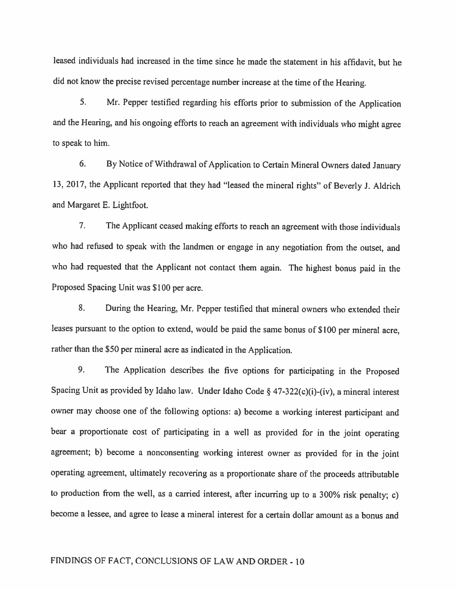leased individuals had increased in the time since he made the statement in his affidavit, but he did not know the precise revised percentage number increase at the time of the Hearing.

5. Mr. Pepper testified regarding his efforts prior to submission of the Application and the Hearing, and his ongoing efforts to reach an agreement with individuals who might agree to speak to him.

6. By Notice of Withdrawal of Application to Certain Mineral Owners dated January 13, 2017, the Applicant reported that they had "leased the mineral rights" of Beverly J. Aldrich and Margaret E. Lightfoot.

7. The Applicant ceased making efforts to reach an agreement with those individuals who had refused to speak with the landmen or engage in any negotiation from the outset, and who had requested that the Applicant not contact them again. The highest bonus paid in the Proposed Spacing Unit was \$100 per acre.

8. During the Hearing, Mr. Pepper testified that mineral owners who extended their leases pursuant to the option to extend, would be paid the same bonus of \$100 per mineral acre, rather than the \$50 per mineral acre as indicated in the Application.

9. The Application describes the five options for participating in the Proposed Spacing Unit as provided by Idaho law. Under Idaho Code § 47-322(c)(i)-(iv), <sup>a</sup> mineral interest owner may choose one of the following options: a) become <sup>a</sup> working interest participant and bear <sup>a</sup> proportionate cost of participating in <sup>a</sup> well as provided for in the joint operating agreement; b) become <sup>a</sup> nonconsenting working interest owner as provided for in the joint operating agreement, ultimately recovering as <sup>a</sup> proportionate share of the proceeds attributable to production from the well, as <sup>a</sup> carried interest, after incurring up to <sup>a</sup> 300% risk penalty; c) become <sup>a</sup> lessee, and agree to lease <sup>a</sup> mineral interest for <sup>a</sup> certain dollar amount as <sup>a</sup> bonus and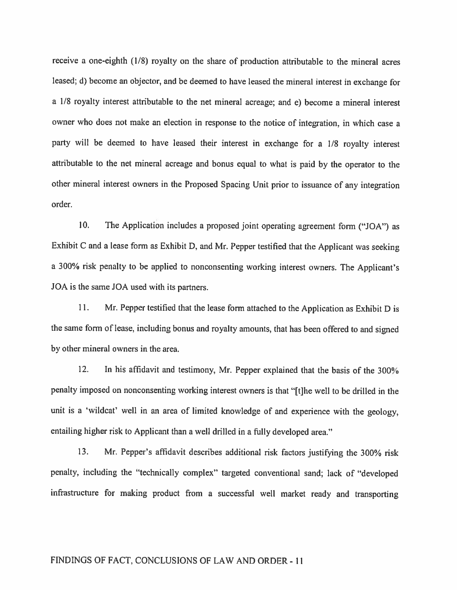receive <sup>a</sup> one-eighth (1/8) royalty on the share of production attributable to the mineral acres leased; d) become an objector, and be deemed to have leased the mineral interest in exchange for <sup>a</sup> 1/8 royalty interest attributable to the net mineral acreage; and e) become <sup>a</sup> mineral interest owner who does not make an election in response to the notice of integration, in which case <sup>a</sup> party will be deemed to have leased their interest in exchange for <sup>a</sup> 1/8 royalty interest attributable to the net mineral acreage and bonus equa<sup>l</sup> to what is paid by the operator to the other mineral interest owners in the Proposed Spacing Unit prior to issuance of any integration order.

10. The Application includes <sup>a</sup> proposed joint operating agreement form ("JOA") as Exhibit <sup>C</sup> and <sup>a</sup> lease form as Exhibit D, and Mr. Pepper testified that the Applicant was seeking <sup>a</sup> 300% risk penalty to be applied to nonconsenting working interest owners. The Applicant's JOA is the same JOA used with its partners.

11. Mr. Pepper testified that the lease form attached to the Application as Exhibit D is the same form of lease, including bonus and royalty amounts, that has been offered to and signed by other mineral owners in the area.

12. In his affidavit and testimony, Mr. Pepper explained that the basis of the 300% penalty imposed on nonconsenting working interest owners is that "[t]he well to be drilled in the unit is <sup>a</sup> 'wildcat' well in an area of limited knowledge of and experience with the geology, entailing higher risk to Applicant than a well drilled in a fully developed area."

13. Mr. Pepper's affidavit describes additional risk factors justifying the 300% risk penalty, including the "technically complex" targeted conventional sand; lack of "developed infrastructure for making product from <sup>a</sup> successful well market ready and transporting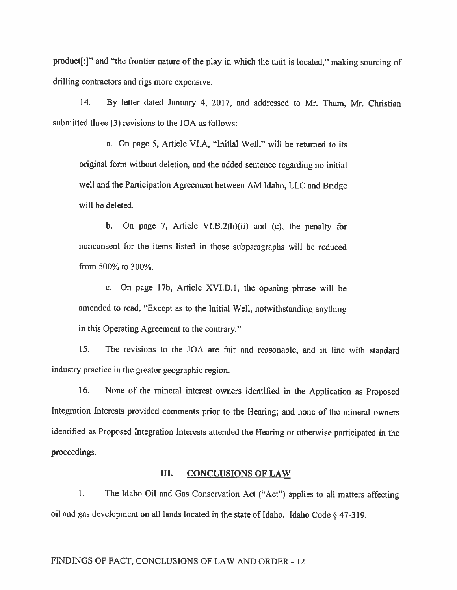product[;]" and "the frontier nature of the <sup>p</sup>lay in which the unit is located," making sourcing of drilling contractors and rigs more expensive.

14. By letter dated January 4, 2017, and addressed to Mr. Thum, Mr. Christian submitted three (3) revisions to the JOA as follows:

a. On page 5, Article Vl.A, "Initial Well," will be returned to its original form without deletion, and the added sentence regarding no initial well and the Participation Agreement between AM Idaho, LLC and Bridge will be deleted.

b. On page 7, Article VI.B.2(b)(ii) and (c), the penalty for nonconsent for the items listed in those subparagraphs will be reduced from 500% to 300%.

c. On page 17b, Article XVI.D.1, the opening <sup>p</sup>hrase will be amended to read, "Except as to the Initial Well, notwithstanding anything in this Operating Agreement to the contrary."

15. The revisions to the JOA are fair and reasonable, and in line with standard industry practice in the greater geographic region.

16. None of the mineral interest owners identified in the Application as Proposed Integration Interests provided comments prior to the Hearing; and none of the mineral owners identified as Proposed Integration Interests attended the Hearing or othenvise participated in the proceedings.

#### III. CONCLUSIONS OF LAW

1. The Idaho Oil and Gas Conservation Act ("Act") applies to all matters affecting oil and gas development on all lands located in the state of Idaho. Idaho Code § 47-3 19.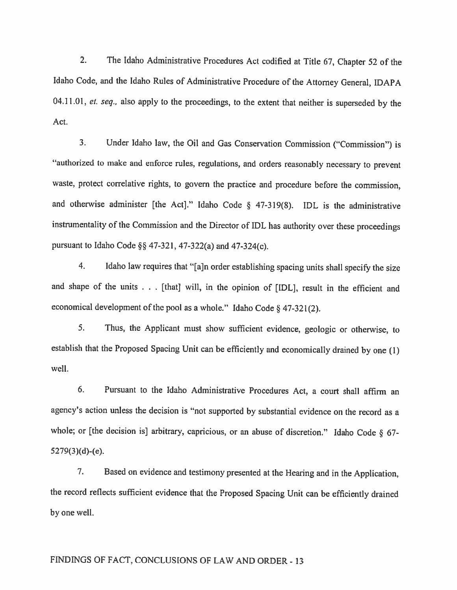2. The Idaho Administrative Procedures Act codified at Title 67, Chapter <sup>52</sup> of the Idaho Code, and the Idaho Rules of Administrative Procedure of the Attorney General, IDAPA 04.11.01, et. seq., also apply to the proceedings, to the extent that neither is superseded by the Act.

3. Under Idaho law, the Oil and Gas Conservation Commission ("Commission") is "authorized to make and enforce rules, regulations, and orders reasonably necessary to prevent waste, protect correlative rights, to govern the practice and procedure before the commission, and otherwise administer [the Act]." Idaho Code § 47-319(8). IDL is the administrative instrumentality of the Commission and the Director of IDL has authority over these proceedings pursuant to Idaho Code §§ 47-321, 47-322(a) and 47-324(c).

4. Idaho law requires that "[a]n order establishing spacing units shall specify the size and shape of the units . . . [that] will, in the opinion of [IOL], result in the efficient and economical development of the pool as a whole." Idaho Code  $\S$  47-321(2).

5. Thus, the Applicant must show sufficient evidence, geologic or otherwise, to establish that the Proposed Spacing Unit can be efficiently and economically drained by one (I) well.

6. Pursuant to the Idaho Administrative Procedures Act, <sup>a</sup> court shall affirm an agency's action unless the decision is "not supported by substantial evidence on the record as <sup>a</sup> whole; or [the decision is] arbitrary, capricious, or an abuse of discretion." Idaho Code § 67- 5279(3)(d)-(e).

7. Based on evidence and testimony presented at the Hearing and in the Application, the record reflects sufficient evidence that the Proposed Spacing Unit can be efficiently drained by one well.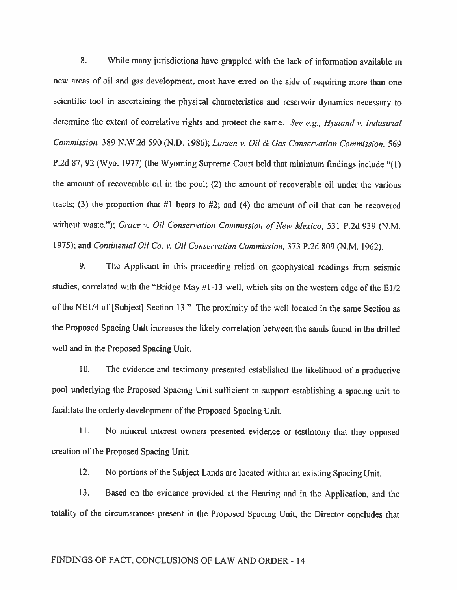8. While many jurisdictions have grappled with the lack of information available in new areas of oil and gas development, most have erred on the side of requiring more than one scientific tool in ascertaining the <sup>p</sup>hysical characteristics and reservoir dynamics necessary to determine the extent of correlative rights and protect the same. See e.g., Hystand v. Industrial Commission, 389 N.W.2d 590 (N.D. 1986); Larsen v. Oil & Gas Conservation Commission, 569 P.2d 87, <sup>92</sup> (Wyo. 1977) (the Wyoming Supreme Court held that minimum findings include "(1) the amount of recoverable oil in the pool; (2) the amount of recoverable oil under the various tracts; (3) the proportion that  $#1$  bears to  $#2$ ; and (4) the amount of oil that can be recovered without waste."); Grace v. Oil Conservation Commission of New Mexico, 531 P.2d 939 (N.M. 1975); and Continental Oil Co. v. Oil Conservation Commission, 373 P.2d 809 (N.M. 1962).

9. The Applicant in this proceeding relied on geophysical readings from seismic studies, correlated with the "Bridge May #1-13 well, which sits on the western edge of the EI/2 of the NEI/4 of [Subject] Section 13." The proximity of the well located in the same Section as the Proposed Spacing Unit increases the likely correlation between the sands found in the drilled well and in the Proposed Spacing Unit.

10. The evidence and testimony presented established the likelihood of <sup>a</sup> productive poo<sup>l</sup> underlying the Proposed Spacing Unit sufficient to support establishing <sup>a</sup> spacing unit to facilitate the orderly development of the Proposed Spacing Unit.

11. No mineral interest owners presented evidence or testimony that they opposed creation of the Proposed Spacing Unit.

12. No portions of the Subject Lands are located within an existing Spacing Unit.

13. Based on the evidence provided at the Hearing and in the Application, and the totality of the circumstances present in the Proposed Spacing Unit, the Director concludes that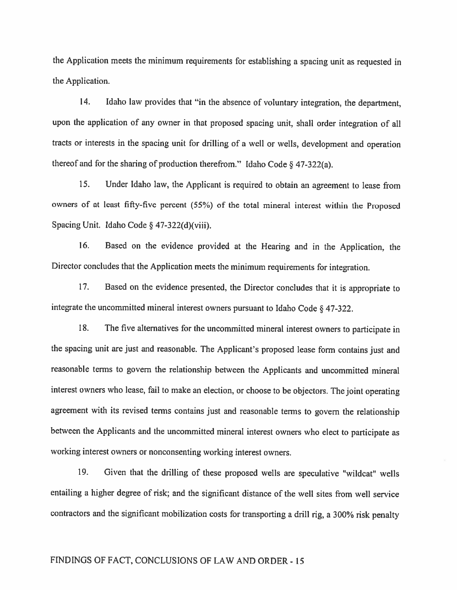the Application meets the minimum requirements for establishing <sup>a</sup> spacing unit as requested in the Application.

14. Idaho law provides that "in the absence of voluntary integration, the department, upon the application of any owner in that proposed spacing unit, shall order integration of all tracts or interests in the spacing unit for drilling of <sup>a</sup> well or wells, development and operation thereof and for the sharing of production therefrom." Idaho Code  $\S$  47-322(a).

15. Under Idaho law, the Applicant is required to obtain an agreement to lease from owners of at least fifty-five percent (55%) of the total mineral interest within the Proposed Spacing Unit. Idaho Code § 47-322(d)(viii).

16. Based on the evidence provided at the Hearing and in the Application, the Director concludes that the Application meets the minimum requirements for integration.

17. Based on the evidence presented, the Director concludes that it is appropriate to integrate the uncommitted mineral interest owners pursuant to Idaho Code § 47-322.

18. The five alternatives for the uncommitted mineral interest owners to participate in the spacing unit are just and reasonable. The Applicant's proposed lease form contains just and reasonable terms to govern the relationship between the Applicants and uncommitted mineral interest owners who lease, fail to make an election, or choose to be objectors. The joint operating agreement with its revised terms contains just and reasonable terms to govern the relationship between the Applicants and the uncommitted mineral interest owners who elect to participate as working interest owners or nonconsenting working interest owners.

19. Given that the drilling of these proposed wells are speculative 'wildcat" wells entailing <sup>a</sup> higher degree of risk; and the significant distance of the well sites from well service contractors and the significant mobilization costs for transporting <sup>a</sup> drill rig, <sup>a</sup> 300% risk penalty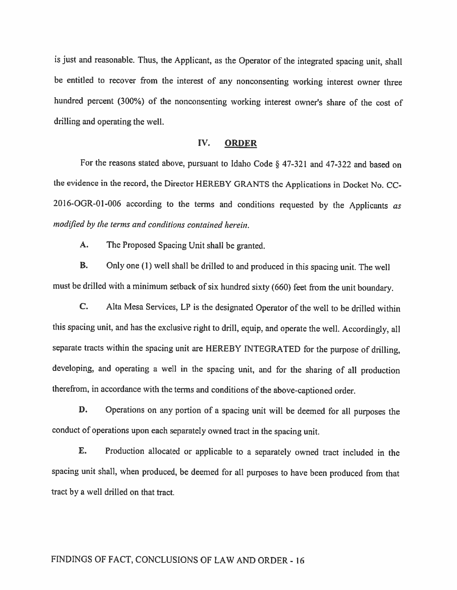is just and reasonable. Thus, the Applicant, as the Operator of the integrated spacing unit, shall be entitled to recover from the interest of any nonconsenting working interest owner three hundred percent (300%) of the nonconsenting working interest owner's share of the cost of drilling and operating the well.

#### IV. ORDER

For the reasons stated above, pursuant to Idaho Code § 47-321 and 47-322 and based on the evidence in the record, the Director HEREBY GRANTS the Applications in Docket No. CC 2016-OGR-0l-006 according to the terms and conditions requested by the Applicants as modified by the terms and conditions contained herein.

A. The Proposed Spacing Unit shall be granted.

B. Only one (1) well shall be drilled to and produced in this spacing unit. The well must be drilled with <sup>a</sup> minimum setback of six hundred sixty (660) feet from the unit boundary.

C, Alta Mesa Services, LP is the designated Operator of the well to be drilled within this spacing unit, and has the exclusive right to drill, equip, and operate the well. Accordingly, all separate tracts within the spacing unit are HEREBY INTEGRATED for the purpose of drilling, developing, and operating <sup>a</sup> well in the spacing unit, and for the sharing of all production therefrom, in accordance with the terms and conditions of the above-captioned order.

**D.** Operations on any portion of a spacing unit will be deemed for all purposes the conduct of operations upon each separately owned tract in the spacing unit.

E. Production allocated or applicable to <sup>a</sup> separately owned tract included in the spacing unit shall, when produced, be deemed for all purposes to have been produced from that tract by <sup>a</sup> well drilled on that tract.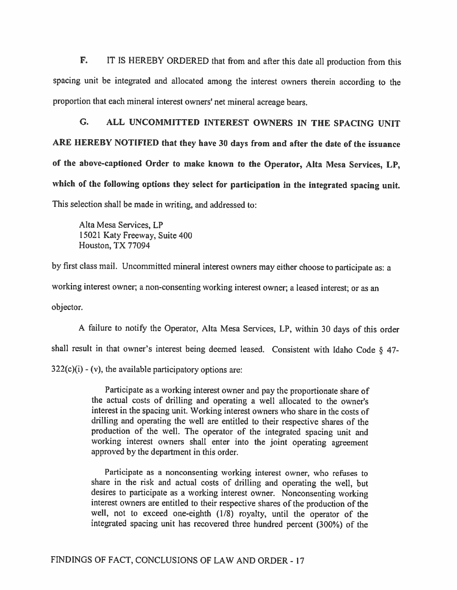F. IT IS HEREBY ORDERED that from and after this date all production from this spacing unit be integrated and allocated among the interest owners therein according to the proportion that each mineral interest owners' net mineral acreage bears.

C. ALL UNCOMMITTED INTEREST OWNERS IN THE SPACING UNIT ARE HEREBY NOTIFIED that they have <sup>30</sup> days from and after the date of the issuance of the above-captioned Order to make known to the Operator, Alta Mesa Services, LP, which of the following options they select for participation in the integrated spacing unit. This selection shall be made in writing, and addressed to:

Alta Mesa Services, LP 15021 Katy Freeway, Suite 400 Houston, TX 77094

by first class mail. Uncommitted mineral interest owners may either choose to participate as: <sup>a</sup> working interest owner; <sup>a</sup> non-consenting working interest owner; <sup>a</sup> leased interest; or as an objector.

A failure to notify the Operator, Alta Mesa Services, LP, within 30 days of this order shall result in that owner's interest being deemed leased. Consistent with Idaho Code § 47-  $322(c)(i)$  - (v), the available participatory options are:

> Participate as <sup>a</sup> working interest owner and pay the proportionate share of the actual costs of drilling and operating a well allocated to the owner's interest in the spacing unit. Working interest owners who share in the costs of drilling and operating the well are entitled to their respective shares of the production of the well. The operator of the integrated spacing unit and working interest owners shall enter into the joint operating agreement approved by the department in this order.

> Participate as a nonconsenting working interest owner, who refuses to share in the risk and actual costs of drilling and operating the well, but desires to participate as <sup>a</sup> working interest owner. Nonconsenting working interest owners are entitled to their respective shares of the production of the well, not to exceed one-eighth (1/8) royalty, until the operator of the integrated spacing unit has recovered three hundred percent (300%) of the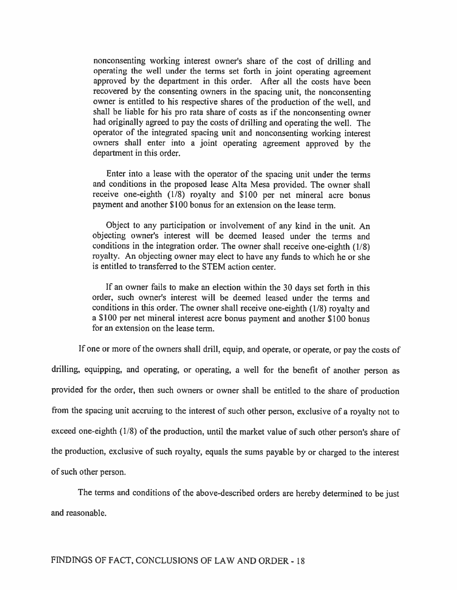nonconsenting working interest owner's share of the cost of drilling and operating the well under the terms set forth in joint operating agreement approved by the department in this order. After all the costs have been recovered by the consenting owners in the spacing unit, the nonconsenting owner is entitled to his respective shares of the production of the well, and shall be liable for his pro rata share of costs as if the nonconsenting owner had originally agreed to pay the costs of drilling and operating the well. The operator of the integrated spacing unit and nonconsenting working interest owners shall enter into <sup>a</sup> joint operating agreement approved by the department in this order.

Enter into <sup>a</sup> lease with the operator of the spacing unit under the terms and conditions in the proposed lease Alta Mesa provided. The owner shall receive one-eighth  $(1/8)$  royalty and \$100 per net mineral acre bonus payment and another \$100 bonus for an extension on the lease term.

Object to any participation or involvement of any kind in the unit. An objecting owner's interest will be deemed leased under the terms and conditions in the integration order. The owner shall receive one-eighth (1/8) royalty. An objecting owner may elect to have any finds to which he or she is entitled to transferred to the STEM action center.

If an owner fails to make an election within the <sup>30</sup> days set forth in this order, such owner's interest will be deemed leased under the terms and conditions in this order. The owner shall receive one-eighth (1/8) royalty and <sup>a</sup> \$100 per net mineral interest acre bonus payment and another \$100 bonus for an extension on the lease term.

If one or more of the owners shall drill, equip, and operate, or operate, or pay the costs of drilling, equipping, and operating, or operating, <sup>a</sup> well for the benefit of another person as provided for the order, then such owners or owner shall be entitled to the share of production from the spacing unit accruing to the interest of such other person, exclusive of <sup>a</sup> royalty not to exceed one-eighth (1/8) of the production, until the market value of such other person's share of the production, exclusive of such royalty, equals the sums payable by or charged to the interest ofsuch other person.

The terms and conditions of the above-described orders are hereby determined to be just and reasonable.